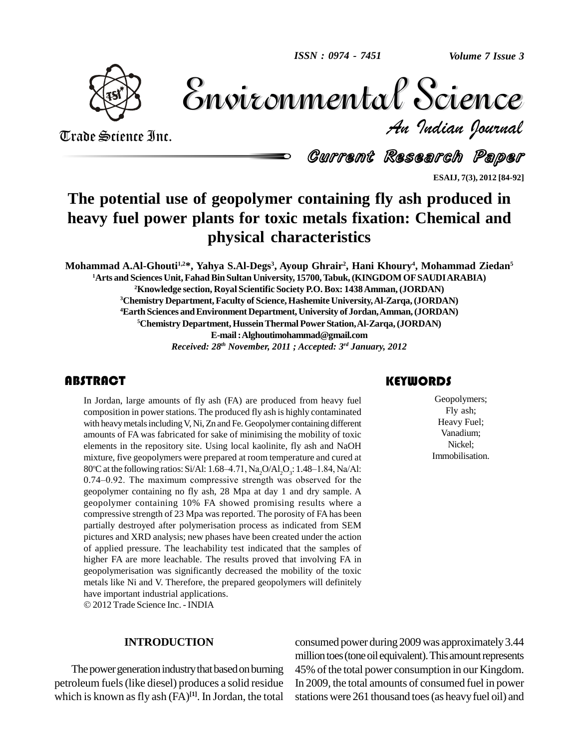

Volume 7 Issue 3 *Indian Journal* Volume 7 Issue 3

Trade Science Inc. Trade Science Inc.

Current Research Paper

**ESAIJ, 7(3), 2012 [84-92]**

## **The potential use of geopolymer containing fly ash produced in heavy fuel power plants for toxic metals fixation: Chemical and physical characteristics**

Mohammad A.Al-Ghouti<sup>1,2</sup>\*, Yahya S.Al-Degs<sup>3</sup>, Ayoup Ghrair<sup>2</sup>, Hani Khoury<sup>4</sup>, Mohammad Ziedan<sup>5</sup> **Arts and SciencesUnit,FahadBin SultanUniversity, 15700,Tabuk,(KINGDOM OFSAUDIARABIA) Knowledge section, Royal Scientific Society P.O. Box: 1438Amman,(JORDAN) Chemistry Department,Faculty of Science, Hashemite University,Al-Zarqa,(JORDAN) Earth Sciences andEnvironment Department, University of Jordan,Amman,(JORDAN) Chemistry Department,HusseinThermal PowerStation,Al-Zarqa,(JORDAN) E-mail:[Alghoutimohammad@gmail.com](mailto:Alghoutimohammad@gmail.com)** *Received: 28 th November, 2011 ; Accepted: 3 rd January, 2012*

#### **ABSTRACT**

In Jordan, large amount<br>composition in power sta<br>with heavy metals includin In Jordan, large amounts of fly ash (FA) are produced from heavy fuel composition in power stations. The produced fly ash is highly contaminated with heavy metals including V, Ni, Zn and Fe. Geopolymer containing different amounts of FA was fabricated for sake of minimising the mobility of toxic elements in the repository site. Using local kaolinite, fly ash and NaOH mixture, five geopolymers were prepared at room temperature and cured at 80°C at the following ratios: Si/Al: 1.68–4.71,  $\text{Na}_2\text{O}/\text{Al}_2\text{O}_3$ : 1.48 ements in the repository site. Using local kaolinite, fly ash and NaOH xture, five geopolymers were prepared at room temperature and cured at  $\degree$ C at the following ratios: Si/Al: 1.68–4.71, Na,O/Al,O<sub>3</sub>: 1.48–1.84, Na/Al: mixture, five geopolymers were prepared at room temperature and cured at  $80^{\circ}$ C at the following ratios: Si/Al: 1.68–4.71, Na<sub>2</sub>O/Al<sub>2</sub>O<sub>3</sub>: 1.48–1.84, Na/Al: 0.74–0.92. The maximum compressive strength was observed fo geopolymer containing no fly ash, 28 Mpa at day 1 and dry sample. A geopolymer containing 10% FA showed promising results where a compressive strength of 23 Mpa was reported. The porosity of FAhas been partially destroyed after polymerisation process as indicated from SEM pictures and XRD analysis; new phases have been created under the action of applied pressure. The leachability test indicated that the samples of higher FA are more leachable. The results proved that involving FA in geopolymerisation was significantly decreased the mobility of the toxic metals like Ni and V. Therefore, the prepared geopolymers will definitely have important industrial applications. 2012 Trade Science Inc. - INDIA

#### **INTRODUCTION**

The power generation industry that based on burning petroleum fuels(like diesel) produces a solid residue which is known as fly ash (FA)<sup>[1]</sup>. In Jordan, the total sta

#### **KEYWORDS**

Geopolymers;<br>Fly ash;<br>Heavy Fuel; Geopolymers; Fly ash; Heavy Fuel; Vanadium; Nickel; Immobilisation.

consumed power during2009was approximately3.44 million toes (tone oil equivalent). This amount represents 45% of the total power consumption in our Kingdom. In 2009, the total amounts of consumed fuel in power stations were 261 thousand toes(as heavyfuel oil) and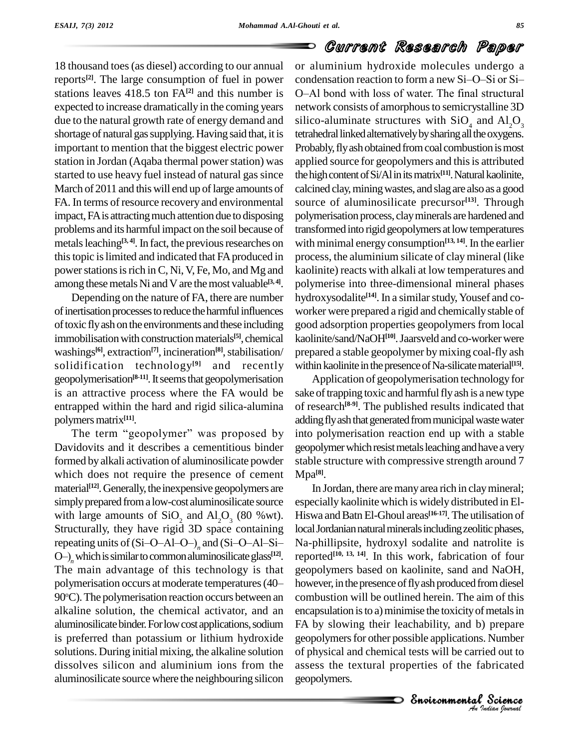# Current Research Paper

18 thousand toes(as diesel) according to our annual reports **[2]**. The large consumption of fuel in power expected to increase dramatically in the coming years due to the natural growth rate of energy demand and shortage of natural gas supplying. Having said that, it is important to mention that the biggest electric power station in Jordan (Aqaba thermal power station) was started to use heavy fuel instead of natural gas since March of 2011 and this will end up of large amounts of FA. In terms of resource recovery and environmental impact, FA is attracting much attention due to disposing problems and its harmful impact on the soil because of metals leaching<sup>[3, 4]</sup>. In fact, the previous researches on with m this topic is limited and indicated that FA produced in power stations is rich in C, Ni, V, Fe, Mo, and Mg and among these metals Ni and V are the most valuable<sup>[3,4]</sup>. po

Depending on the nature of FA, there are number of inertisation processes to reduce the harmful influences oftoxic flyash on the environments and these including immobilisation with construction materials<sup>[5]</sup>, chemical ka washings<sup>[6]</sup>, extraction<sup>[7]</sup>, incineration<sup>[8]</sup>, stabilisation/ pro solidification technology **[9]** and recently geopolymerisation<sup>[8-11]</sup>. It seems that geopolymerisation Ap is an attractive process where the FA would be entrapped within the hard and rigid silica-alumina of rese<br>polymers matrix<sup>[11]</sup>. adding<br>The term "geopolymer" was proposed by into po polymers matrix<sup>[11]</sup>.

Davidovits and it describes a cementitious binder formed by alkali activation of aluminosilicate powder which does not require the presence of cement material<sup>[12]</sup>. Generally, the inexpensive geopolymers are ln simply prepared from a low-cost aluminosilicate source with large amounts of  $SiO_2$  and  $Al_2O_3$  (80 %wt). Hiswa<br>Structurally, they have rigid 3D space containing local Jo<br>repeating units of (Si-O-Al-O-) and (Si-O-Al-Si- Na-phi with large amounts of  $SiO_2$  and  $Al_2O_3$  (80 %wt). Hiswa<br>Structurally, they have rigid 3D space containing local Jo<br>repeating units of (Si–O–Al–O–)<sub>n</sub> and (Si–O–Al–Si– Na-phi<br>O–)<sub>n</sub> which is similar to common aluminosili The main advantage of this technology is that 90°C). The polymerisation reaction occurs between an combu alkaline solution, the chemical activator, and an aluminosilicate binder. For low cost applications, sodium is preferred than potassium or lithium hydroxide solutions. During initial mixing, the alkaline solution dissolves silicon and aluminium ions from the aluminosilicate source where the neighbouring silicon

stations leaves 418.5 ton FA<sup>[2]</sup> and this number is O-Al bond with loss of water. The final structural or aluminium hydroxide molecules undergo a condensation in the condensation reaction to form a new Si-O-Si or Si-<br>condensation reaction to form a new Si-O-Si or Sior aluminium hydroxide molecules undergo a<br>condensation reaction to form a new Si–O–Si or Si–<br>O–Al bond with loss of water. The final structural network consists of amorphous to semicrystalline 3D silico-aluminate structures with  $SiO<sub>4</sub>$  and  $Al<sub>2</sub>O<sub>3</sub>$ tetrahedral linked alternatively by sharing all the oxygens. Probably, fly ash obtained from coal combustion is most applied source for geopolymers and this is attributed the high content of Si/Al in its matrix<sup>[11]</sup>. Natural kaolinite, calcined clay,miningwastes, and slagare alsoas a good source of aluminosilicate precursor **[13]**. Through polymerisation process, clayminerals are hardened and transformed into rigid geopolymers at low temperatures with minimal energy consumption<sup>[13, 14]</sup>. In the earlier process, the aluminium silicate of claymineral (like kaolinite) reacts with alkali at low temperatures and polymerise into three-dimensional mineral phases hydroxysodalite<sup>[14]</sup>. In a similar study, Yousef and coworker were prepared a rigid and chemically stable of good adsorption properties geopolymers from local kaolinite/sand/NaOH<sup>[10]</sup>. Jaarsveld and co-worker were prepared a stable geopolymer bymixing coal-fly ash within kaolinite in the presence of Na-silicate material<sup>[15]</sup>.

> Application of geopolymerisation technology for sake of trapping toxic and harmfulfly ash is a new type of research **[8-9]**. The published results indicated that adding fly ash that generated from municipal waste water into polymerisation reaction end up with a stable geopolymer which resist metals leaching and have a very stable structure with compressive strength around 7 Mpa **[8]**.

FA by slowing their leachability, and b) prepare *I* prepare<br>*I* s. Number<br>*I* signal<br>*Pudian bouvad* prepare<br>Number<br>ed out to<br>bricated<br>Science In Jordan, there are many area rich in clay mineral; especially kaolinite which is widely distributed in El-Hiswa and Batn El-Ghoul areas<sup>[16-17]</sup>. The utilisation of local Jordanian natural minerals including zeolitic phases, Na-phillipsite, hydroxyl sodalite and natrolite is reported<sup>[10, 13, 14]. In this work, fabrication of four</sup> geopolymers based on kaolinite, sand and NaOH, however, in the presence of fly ash produced from diesel combustion will be outlined herein. The aim of this encapsulation is to a) minimise the toxicity of metals in geopolymers for other possible applications. Number of physical and chemical tests will be carried out to assess the textural properties of the fabricated geopolymers.

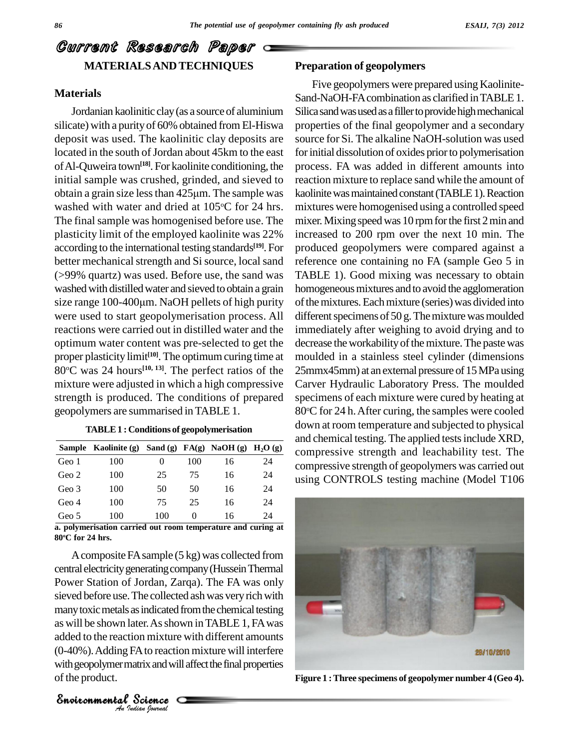## Current Research Paper **MATERIALSAND TECHNIQUES**

#### **Materials**

Jordanian kaolinitic clay (as a source of aluminium silicate) with a purityof 60% obtained from El-Hiswa deposit was used. The kaolinitic clay deposits are located in the south of Jordan about 45km to the east ofAl-Quweira town **[18]**. For kaolinite conditioning, the initial sample was crushed, grinded, and sieved to of Al-Quweira town<sup>[18]</sup>. For kaolinite conditioning, the proc<br>initial sample was crushed, grinded, and sieved to react<br>obtain a grain size less than  $425\mu m$ . The sample was kaoli washed with water and dried at 105°C for 24 hrs. The final sample was homogenised before use. The plasticity limit of the employed kaolinite was 22% according to the international testing standards **[19]**. For better mechanical strength and Si source, local sand (>99% quartz) was used. Before use, the sand was washed with distilled water and sieved to obtain a grain homog (>99% quartz) was used. Before use, the sand was<br>washed with distilled water and sieved to obtain a grain homog<br>size range 100-400µm. NaOH pellets of high purity of the n were used to start geopolymerisation process. All reactions were carried out in distilled water and the optimum water content was pre-selected to get the proper plasticity limit<sup>[10]</sup>. The optimum curing time at mo 80<sup>o</sup>C was 24 hours<sup>[10, 13]</sup>. The perfect ratios of the 25mm mixture were adjusted in which a high compressive strength is produced. The conditions of prepared geopolymers are summarised inTABLE 1.

#### **TABLE1 : Conditions of geopolymerisation**

|       | Sample Kaolinite (g) Sand (g) FA(g) NaOH (g) H <sub>2</sub> O (g) |     |     |    |    | comp  |
|-------|-------------------------------------------------------------------|-----|-----|----|----|-------|
| Geo 1 | 100                                                               | 0   | 100 | 16 | 24 | comp  |
| Geo 2 | 100                                                               | 25  | 75  | 16 | 24 | using |
| Geo 3 | 100                                                               | 50  | 50  | 16 | 24 |       |
| Geo 4 | 100                                                               | 75  | 25  | 16 | 24 |       |
| Geo 5 | 100                                                               | 100 |     | 16 | 24 |       |

**a. polymerisation carried** out **room temperature** and **curing** at **80 <sup>o</sup>C for 24 hrs.**

as will be shown later. As shown in TABLE 1, FA was Example in As shown is<br>Separative with<br>Science<br>Science A composite FA sample (5 kg) was collected from central electricitygeneratingcompany(HusseinThermal Power Station of Jordan, Zarqa). The FA was only sieved before use. The collected ash was very rich with many toxic metals as indicated from the chemical testing added to the reaction mixture with different amounts (0-40%).Adding FAto reaction mixture will interfere with geopolymer matrix and will affect the final properties ofthe product. **Figure 1 :Three specimens of geopolymer number 4 (Geo 4).**

*Indian Journal*

#### **Preparation of geopolymers**

Five geopolymers were prepared using Kaolinite- Sand-NaOH-FA combination as clarified in TABLE 1. Silica sand was used as a filler to provide high mechanical properties of the final geopolymer and a secondary source for Si. The alkaline NaOH-solution was used for initial dissolution of oxides prior to polymerisation process. FA was added in different amounts into reaction mixture to replace sand while the amount of kaolinite was maintained constant (TABLE 1). Reaction mixtures were homogenised using a controlled speed mixer. Mixing speed was 10 rpm for the first 2 min and increased to 200 rpm over the next 10 min. The produced geopolymers were compared against a reference one containing no FA (sample Geo 5 in TABLE 1). Good mixing was necessary to obtain homogeneous mixtures and to avoid the agglomeration ofthemixtures.Eachmixture (series)was divided into different specimens of  $50$  g. The mixture was moulded immediately after weighing to avoid drying and to decrease the workability of the mixture. The paste was moulded in a stainless steel cylinder (dimensions 25mmx45mm) at an external pressure of 15 MPa using Carver Hydraulic Laboratory Press. The moulded specimens of each mixture were cured by heating at 80°C for 24 h. After curing, the samples were cooled down at room temperature and subjected to physical and chemical testing. The applied testsinclude XRD, compressive strength and leachability test. The compressive strength of geopolymers was carried out using CONTROLS testing machine (Model T106

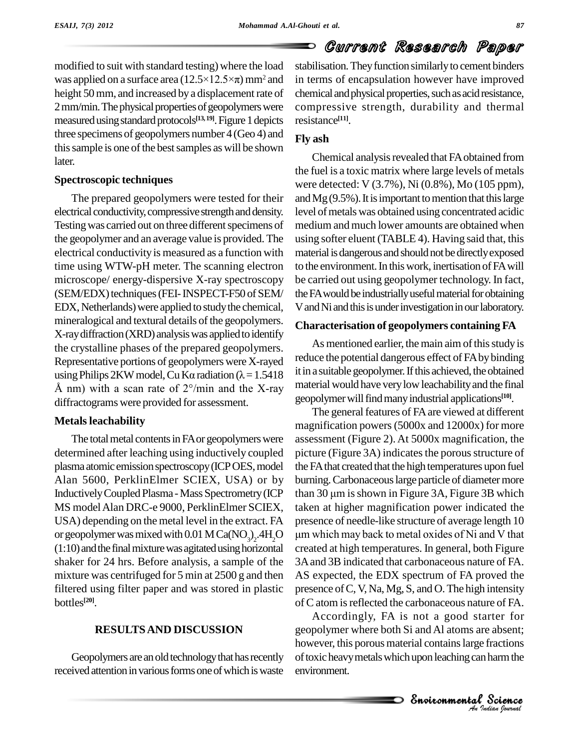modified to suit with standard testing) where the load modified to suit with standard testing) where the load stabil<br>was applied on a surface area  $(12.5\times12.5\times\pi)$  mm<sup>2</sup> and in ter height 50 mm, and increased by a displacement rate of 2 mm/min. The physical properties of geopolymers were measured using standard protocols<sup>[13, 19]</sup>. Figure 1 depicts resis three specimens of geopolymers number 4 (Geo 4) and this sample is one of the best samples as will be shown later.

#### **Spectroscopic techniques**

The prepared geopolymers were tested for their electrical conductivity, compressive strength and density. Testing was carried out on three different specimens of the geopolymer and an average value is provided. The electrical conductivityis measured as a function with time using WTW-pH meter. The scanning electron microscope/ energy-dispersive X-ray spectroscopy (SEM/EDX) techniques (FEI-INSPECT-F50 of SEM/ EDX, Netherlands) were applied to study the chemical, mineralogical and textural details of the geopolymers. X-ray diffraction (XRD) analysis was applied to identify the crystalline phases of the prepared geopolymers. As<br>Representative portions of geopolymers were X-rayed reduce<br>using Philips 2KW model, Cu K $\alpha$  radiation ( $\lambda$  = 1.5418 it in a su Representative portions of geopolymers were X-rayed<br>using Philips 2KW model, Cu K $\alpha$  radiation ( $\lambda$  = 1.5418 it in a st<br>Å nm) with a scan rate of 2°/min and the X-ray materia diffractograms were provided for assessment.

#### **Metals leachability**

The total metal contents in FA or geopolymers were determined after leaching using inductively coupled plasma atomic emission spectroscopy (ICP OES, model Alan 5600, PerklinElmer SCIEX, USA) or by InductivelyCoupled Plasma -MassSpectrometry(ICP MS model Alan DRC-e 9000, PerklinElmer SCIEX, USA) depending on the metal level in the extract. FA or geopolymer was mixed with  $0.01$  M Ca(NO<sub>3</sub>)<sub>2</sub>.4H<sub>2</sub>C  $(1:10)$  and the final mixture was agitated using horizontal shaker for 24 hrs. Before analysis, a sample of the mixture was centrifuged for 5 min at 2500 g and then filtered using filter paper and was stored in plastic bottles **[20]**.

#### **RESULTSAND DISCUSSION**

Geopolymers are an old technology that has recently received attention in various forms one of which is waste stabilisation. They function similarly to cement binders in terms of encapsulation however have improved chemical and physical properties, such as acid resistance, compressive strength, durability and thermal resistance **[11]**.

Current Research Paper

#### **Fly ash**

Chemical analysis revealed that FA obtained from the fuel is a toxic matrix where large levels of metals were detected: V (3.7%), Ni (0.8%), Mo (105 ppm), and  $Mg(9.5\%)$ . It is important to mention that this large level of metals was obtained using concentrated acidic medium and much lower amounts are obtained when using softer eluent (TABLE 4). Having said that, this material is dangerous and should not be directly exposed to the environment. In this work, inertisation of FA will be carried out using geopolymer technology. In fact, the FA would be industrially useful material for obtaining V and Ni and this is under investigation in our laboratory.

#### **Characterisation of geopolymers containing FA**

As mentioned earlier, the main aim of this study is reduce the potential dangerous effect of FAbybinding it in a suitable geopolymer. If this achieved, the obtained material would have very low leachability and the final geopolymerwillfindmanyindustrial applications **[10]**.

um which may back to metal oxides of Ni and V that The general features of FA are viewed at different magnification powers(5000x and 12000x) for more assessment (Figure 2). At 5000x magnification, the picture (Figure 3A) indicates the porous structure of the FA that created that the high temperatures upon fuel burning. Carbonaceous large particle of diameter more than  $30 \mu m$  is shown in Figure  $3A$ , Figure  $3B$  which taken at higher magnification power indicated the presence of needle-like structure of average length 10 en at higher magnification power indicated the<br>sence of needle-like structure of average length 10<br>which may back to metal oxides of Ni and V that created at high temperatures. In general, both Figure 3A and 3B indicated that carbonaceous nature of FA. AS expected, the EDX spectrum of FA proved the presence ofC,V, Na, Mg, S, and O.The high intensity of C atom is reflected the carbonaceous nature of FA.

*An*Environmentalgeopolymer where both Si andAl atoms are absent; rter ror<br>e absent;<br>fractions<br>harm the<br>Science Accordingly, FA is not a good starter for however, this porous material contains large fractions of toxic heavy metals which upon leaching can harm the environment.

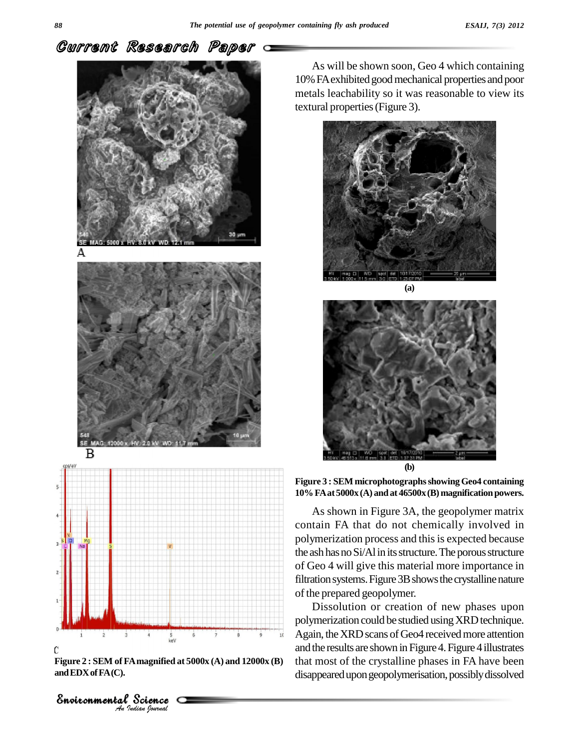



**Figure 2 : SEM of FAmagnified at 5000x (A) and 12000x (B) andEDXofFA(C).**

As will be shown soon, Geo 4 which containing 10% FA exhibited good mechanical properties and poor metals leachability so it was reasonable to view its textural properties(Figure 3).





**Figure 3 : SEM microphotographsshowingGeo4 containing 10%FAat5000x (A) andat 46500x(B) magnification powers.**

As shown in Figure 3A, the geopolymer matrix contain FA that do not chemically involved in polymerization process and this is expected because the ash has no Si/Al in its structure. The porous structure of Geo 4 will give this material more importance in filtration systems. Figure 3B shows the crystalline nature of the prepared geopolymer.

Dissolution or creation of new phases upon polymerization could be studied using XRD technique. Again, the XRD scans of Geo4 received more attention and the results are shown in Figure 4. Figure 4 illustrates that most of the crystalline phases in FA have been disappeared upon geopolymerisation, possibly dissolved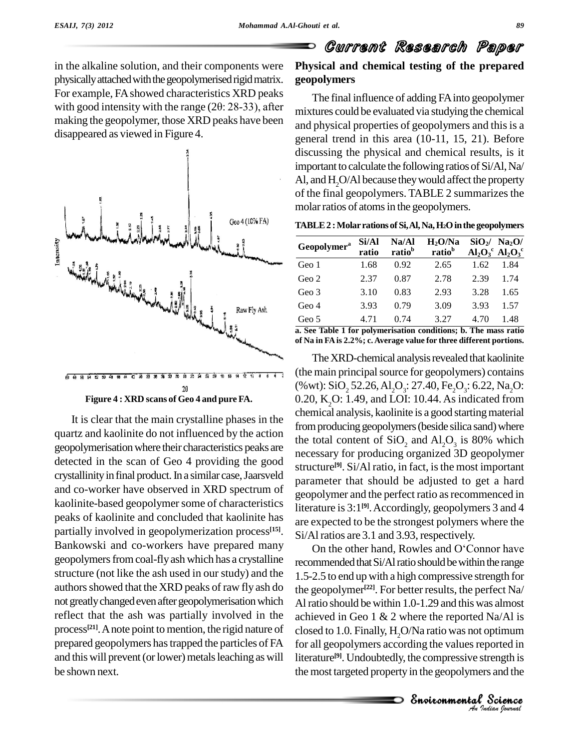

**Figure 4 : XRD scansof Geo 4 and pure FA.**

 $20$ 

It is clear that the main crystalline phases in the quartz and kaolinite do not influenced by the action geopolymerisationwhere their characteristics peaks are detected in the scan of Geo 4 providing the good crystallinity in final product. In a similar case, Jaarsveld and co-worker have observed in XRD spectrum of kaolinite-based geopolymer some of characteristics peaks of kaolinite and concluded that kaolinite has partially involved in geopolymerization process **[15]**. Bankowski and co-workers have prepared many on the other hand, Rowles and O'Connor have geopolymers from coal-fly ash which has a crystalline structure (not like the ash used in our study) and the authors showed that the XRD peaks of raw fly ash do not greatly changed even after geopolymerisation which reflect that the ash was partially involved in the process<sup>[21]</sup>. A note point to mention, the rigid nature of clos prepared geopolymers hastrapped the particles of FA and this will prevent (or lower) metals leaching as will be shown next.

### Current Research Paper **Physical and chemical testing of the prepared geopolymers**

The final influence of adding FAinto geopolymer mixtures could be evaluated via studying the chemical and physical properties of geopolymers and this is a general trend in this area (10-11, 15, 21). Before discussing the physical and chemical results, is it important to calculate the following ratios of  $Si/Al$ , Na/ Al, and H<sub>2</sub>O/Al because they would affect the property of the final geopolymers. TABLE 2 summarizesthe molar ratios of atoms in the geopolymers.

| Geopolymer <sup>a</sup> | Si/Al<br>ratio | Na/Al<br>ratio <sup>b</sup> | $H_2O/Na$<br>ratio <sup>b</sup> |      | $SiO_2/$ Na <sub>2</sub> O/<br>$\text{Al}_2\text{O}_3^{\text{c}}$ $\text{Al}_2\text{O}_3^{\text{c}}$ |
|-------------------------|----------------|-----------------------------|---------------------------------|------|------------------------------------------------------------------------------------------------------|
| Geo 1                   | 1.68           | 0.92                        | 2.65                            | 1.62 | 1.84                                                                                                 |
| Geo 2                   | 2.37           | 0.87                        | 2.78                            | 2.39 | 1.74                                                                                                 |
| Geo 3                   | 3.10           | 0.83                        | 2.93                            | 3.28 | 1.65                                                                                                 |
| Geo 4                   | 3.93           | 0.79                        | 3.09                            | 3.93 | 1.57                                                                                                 |
| Geo 5                   | 4.71           | 0.74                        | 3.27                            | 4.70 | 1.48                                                                                                 |

**a. See Table 1 for polymerisation conditions; b. The mass ratio of Na in FA is 2.2%; c. Average value for three different portions.**

The XRD-chemical analysis revealed that kaolinite (the main principal source for geopolymers) contains (% wt):  $\text{SiO}_2$  52.26,  $\text{Al}_2\text{O}_3$ : 27.40,  $\text{Fe}_2\text{O}_3$ : 6.22,  $\text{Na}_2\text{O}$ :  $0.20$ , K<sub>2</sub>O: 1.49, and LOI: 10.44. As indicated from chemical analysis, kaolinite is a good starting material from producing geopolymers (beside silica sand) where the total content of  $SiO_2$  and  $Al_2O_3$  is 80% which necessary for producing organized 3D geopolymer structure<sup>[9]</sup>. Si/Al ratio, in fact, is the most important parameter that should be adjusted to get a hard geopolymer and the perfect ratio as recommenced in literature is 3:1 **[9]**.Accordingly, geopolymers 3 and 4 are expected to be the strongest polymers where the<br>Si/Al ratios are 3.1 and 3.93, respectively.<br>On the other hand, Rowles and O'Connor have Si/Al ratios are 3.1 and 3.93, respectively.

closed to 1.0. Finally,  $H_2O/Na$  ratio was not optimum *I* coptimum<br> *Strength* is<br> *Indian*<br> *Indian Iournal* Science<br>ported in<br>rength is<br>s and the<br>Science recommended that Si/Al ratio should be within the range 1.5-2.5 to end up with a high compressive strength for the geopolymer **[22]**. For better results, the perfect Na/ Alratio should be within 1.0-1.29 and this was almost achieved in Geo 1  $\&$  2 where the reported Na/Al is for all geopolymers according the values reported in literature **[9]**. Undoubtedly, the compressive strength is the most targeted property in the geopolymers and the

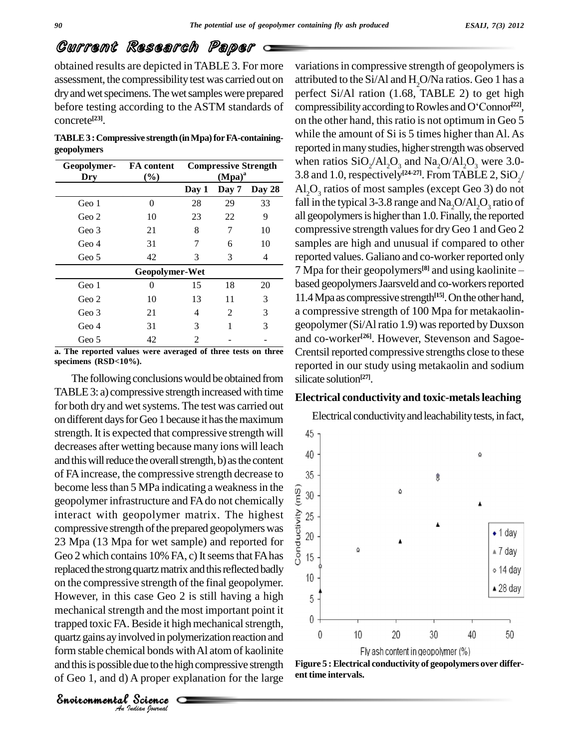## Current Research Paper

obtained results are depicted in TABLE 3. For more assessment, the compressibility test was carried out on dry and wet specimens. The wet samples were prepared before testing according to the ASTM standards of concrete **[23]**.

**TABLE3 :Compressive strength(inMpa)forFA-containing geopolymers**

| Geopolymer-<br>Dry | FA content<br>(%) | <b>Compressive Strength</b><br>$(Mpa)^a$ |       |        |
|--------------------|-------------------|------------------------------------------|-------|--------|
|                    |                   | Day 1                                    | Day 7 | Day 28 |
| Geo 1              | 0                 | 28                                       | 29    | 33     |
| Geo 2              | 10                | 23                                       | 22    | 9      |
| Geo 3              | 21                | 8                                        | 7     | 10     |
| Geo 4              | 31                | 7                                        | 6     | 10     |
| Geo 5              | 42                | 3                                        | 3     | 4      |
|                    | Geopolymer-Wet    |                                          |       |        |
| Geo 1              | 0                 | 15                                       | 18    | 20     |
| Geo 2              | 10                | 13                                       | 11    | 3      |
| Geo 3              | 21                | 4                                        | 2     | 3      |
| Geo 4              | 31                | 3                                        | 1     | 3      |
| Geo 5              | 42                | 2                                        |       |        |

**a. The reported values were averaged of three tests on three specimens (RSD<10%).**

trapped toxic FA. Beside it high mechanical strength,<br>quartz gains ay involved in polymerization reaction and<br>form stable chemical bonds with Al atom of kaolinite<br>and this is possible due to the high compressive strength<br>o The following conclusions would be obtained from TABLE 3: a) compressive strength increased with time for both dry and wet systems. The test was carried out on different daysforGeo 1 because ithasthemaximum strength. It is expected that compressive strength will 45 decreases after wetting because many ions will leach and this will reduce the overall strength, b) as the content of FAincrease, the compressive strength decrease to become less than 5 MPa indicating a weakness in the<br>geopolymer infrastructure and FA do not chemically<br>interact with geopolymer matrix. The highest  $\geq 25$ <br>compressive strength of the prepared geopolymers was<br>23 Mpa (13 geopolymer infrastructure and FAdo not chemically interact with geopolymer matrix. The highest  $\hat{\epsilon}$  25 compressive strength of the prepared geopolymers was  $\frac{1}{2}$  20 23 Mpa (13 Mpa for wet sample) and reported for Geo 2 which contains 10% FA, c) It seems that FA has  $\frac{5}{0}$  15 replaced the strong quartz matrix and this reflected badly<br>on the compressive strength of the final second was on the compressive strength of the final geopolymer. However, in this case Geo 2 is still having a high  $5$ mechanical strength and the most important point it quartz gains ay involved in polymerization reaction and  $\frac{0}{2}$ form stable chemical bonds with Al atom of kaolinite and this is possible due to the high compressive strength of Geo 1, and d) A proper explanation for the large

variations in compressive strength of geopolymers is attributed to the Si/Al and H<sub>2</sub>O/Na ratios. Geo 1 has a<br>perfect Si/Al ration (1.68, TABLE 2) to get high<br>compressibility according to Rowles and O'Connor<sup>1221</sup>, perfect Si/Al ration (1.68, TABLE 2) to get high compressibility according to Rowles and O'Connor<sup>[22]</sup>, on the other hand, this ratio is not optimum in Geo 5 while the amount of Si is 5 times higher than Al. As reported in many studies, higher strength was observed **Compressive Strength** when ratios  $\text{SiO}_2/\text{Al}_2\text{O}_3$  and  $\text{Na}_2\text{O}/\text{Al}_2\text{O}_3$  were 3.0-<br>(Mpa)<sup>a</sup> 3.8 and 1.0, respectively<sup>[24-27]</sup>. From TABLE 2,  $\text{SiO}_2/$ <sup>[24-27]</sup>. From TABLE 2, SiO<sub>2</sub>/ **Day 1 Day 7 Day 28 Al**<sub>2</sub> $O_3$  ratios of most samples (except Geo 3) do not fall in the typical 3-3.8 range and  $Na_2O/Al_2O_3$  ratio of all geopolymers is higher than 1.0. Finally, the reported compressive strength values for dry Geo 1 and Geo 2 samples are high and unusual if compared to other reported values. Galiano and co-worker reported only 7 Mpa for their geopolymers<sup>[8]</sup> and using kaolinite  $$ al if compared to other<br>co-worker reported only<br><sup>[8]</sup> and using kaolinite – based geopolymers Jaarsveld and co-workers reported 11.4Mpaas compressive strength **[15]**.Ontheotherhand, a compressive strength of 100 Mpa for metakaolin geopolymer (Si/Al ratio 1.9) was reported by Duxson and co-worker **[26]**. However, Stevenson and Sagoe- Crentsil reported compressive strengths close to these reported in our study using metakaolin and sodium silicate solution **[27]**.

#### **Electrical conductivity and toxic-metalsleaching**

Electrical conductivity and leachability tests, in fact, ۵ 食 ۵ Á  $\bullet$  1 day  $\triangle$ ▲ 7 day ∘ 14 day  $\triangle$  28 day  $\overline{0}$ 10 20 30 40 50 Fly ash content in geopolymer (%)



*Indian Journal*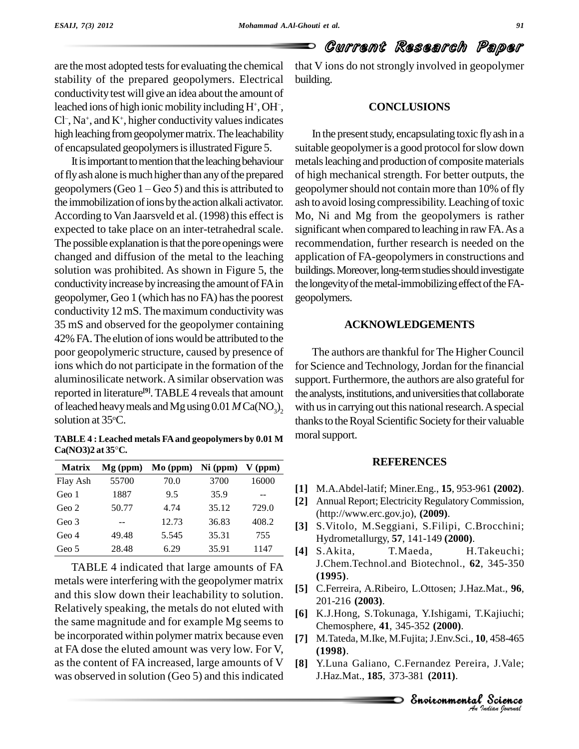Đ

# Current Research Paper

are the most adopted tests for evaluating the chemical stability of the prepared geopolymers. Electrical conductivity test will give an idea about the amount of leached ions of high ionic mobility including  $H^+$ ,  $OH^-$ , leached ions of high ionic mobility including  $H^+$ , OH<sup>-</sup>, Cl<sup>-</sup>, Na<sup>+</sup>, and K<sup>+</sup>, higher conductivity values indicates , Na + , and K<sup>+</sup> , higher conductivity valuesindicates high leaching from geopolymer matrix. The leachability of encapsulated geopolymersisillustrated Figure 5.

It is important to mention that the leaching behaviour of fly ash alone is much higher than any of the prepared of high It is important to mention that the leaching behaviour metals<br>of fly ash alone is much higher than any of the prepared of high<br>geopolymers (Geo  $1 -$ Geo 5) and this is attributed to geopol the immobilization of ions by the action alkali activator. According to Van Jaarsveld et al. (1998) this effect is expected to take place on an inter-tetrahedral scale. The possible explanation is that the pore openings were changed and diffusion of the metal to the leaching solution was prohibited. As shown in Figure 5, the conductivity increase by increasing the amount of FA in geopolymer, Geo 1 (which has no FA) hasthe poorest conductivity 12 mS. The maximum conductivity was 35 mS and observed for the geopolymer containing 42% FA. The elution of ions would be attributed to the poor geopolymeric structure, caused by presence of ions which do not participate in the formation of the aluminosilicate network.Asimilar observation was reported in literature<sup>[9]</sup>. TABLE 4 reveals that amount the of leached heavy meals and Mg using  $0.01 M Ca(NO<sub>2</sub>)$ , solution at 35°C.

**TABLE 4 : Leached metals FAand geopolymers by 0.01 M CALCOMET SSECT:**<br>**CA(NO3)2** at 35<sup>°</sup>C.

| <b>Matrix</b> | $Mg$ (ppm) | $\mathbf{Mo}$ (ppm) | $Ni$ (ppm) | $V$ (ppm) |
|---------------|------------|---------------------|------------|-----------|
| Flay Ash      | 55700      | 70.0                | 3700       | 16000     |
| Geo 1         | 1887       | 9.5                 | 35.9       |           |
| Geo 2         | 50.77      | 4.74                | 35.12      | 729.0     |
| Geo 3         |            | 12.73               | 36.83      | 408.2     |
| Geo 4         | 49.48      | 5.545               | 35.31      | 755       |
| Geo 5         | 28.48      | 6.29                | 35.91      | 1147      |

TABLE 4 indicated that large amounts of FA metals were interfering with the geopolymer matrix and this slow down their leachability to solution. Relatively speaking, the metals do not eluted with the same magnitude and for example Mg seems to be incorporated within polymer matrix because even at FA dose the eluted amount was very low. For V, as the content of FA increased, large amounts of V was observed in solution (Geo 5) and this indicated

that V ions do not strongly involved in geopolymer building.

#### **CONCLUSIONS**

In the present study, encapsulating toxic fly ash in a suitable geopolymer is a good protocol for slow down metals leaching and production of composite materials of high mechanical strength. For better outputs, the geopolymer should not contain more than 10% of fly ash to avoid losing compressibility. Leaching of toxic Mo, Ni and Mg from the geopolymers is rather significant when compared to leaching in raw FA. As a recommendation, further research is needed on the application of FA-geopolymers in constructions and buildings. Moreover, long-term studies should investigate the longevity of the metal-immobilizing effect of the FAgeopolymers.

#### **ACKNOWLEDGEMENTS**

 $_{2}$  with us in carrying out this national research. A special The authors are thankful for The Higher Council for Science and Technology, Jordan for the financial support. Furthermore, the authors are also grateful for the analysts, institutions, and universities that collaborate thanks to the Royal Scientific Society for their valuable moral support.

#### **REFERENCES**

- **[1]** M.A.Abdel-latif; Miner.Eng., **15**, 953-961 **(2002)**.
- [2] Annual Report; Electricity Regulatory Commission, (http://www.erc.gov.jo), **(2009)**.
- **[3]** S.Vitolo, M.Seggiani, S.Filipi, C.Brocchini; Hydrometallurgy, **57**, 141-149 **(2000)**.
- **[4]** S.Akita, T.Maeda, H.Takeuchi; J.Chem.Technol.and Biotechnol., **62**, 345-350 **(1995)**.
- **[5]** C.Ferreira, A.Ribeiro, L.Ottosen; J.Haz.Mat., **96**, 201-216 **(2003)**.
- EnvironmentalChemosphere, **41**, 345-352 **(2000)**. **[6]** K.J.Hong, S.Tokunaga, Y.Ishigami, T.Kajiuchi;
- **[7]** M.Tateda, M.Ike, M.Fujita;J.Env.Sci., **10**, 458-465 **(1998)**.
- **0**, 458-465<br><sup>2</sup> *Science***<br><sup>2</sup>** *Science*<br>*Indian Iournal* , 458-465<br>, J.Vale;<br>**Science [8]** Y.Luna Galiano, C.Fernandez Pereira, J.Vale; J.Haz.Mat., **185**, 373-381 **(2011)**.